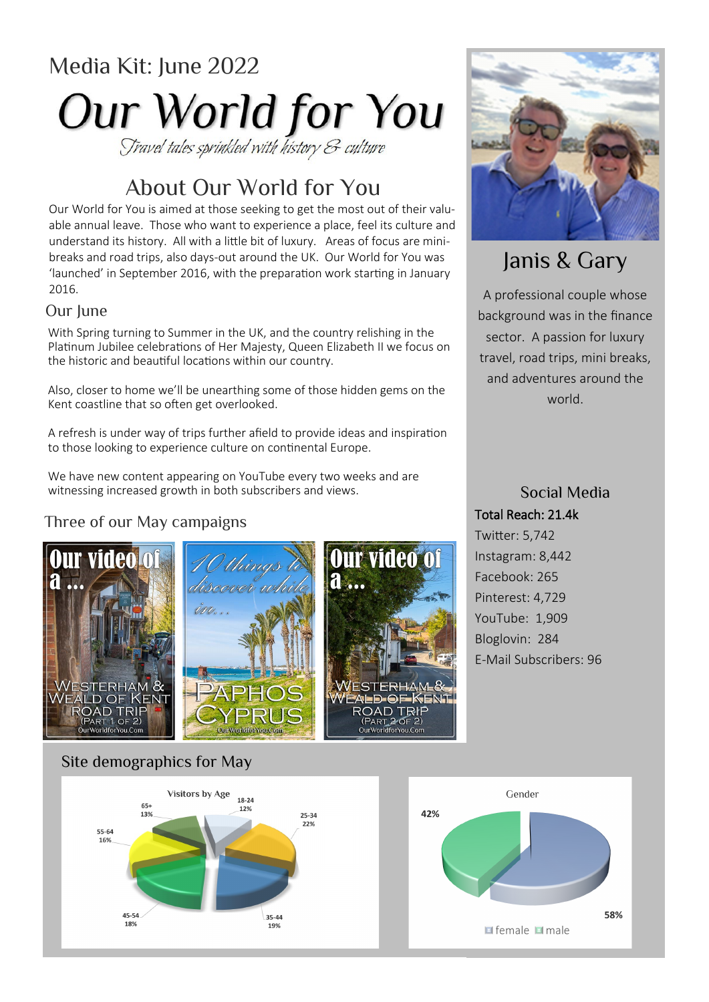# Media Kit: June 2022 **Our World for You**

# About Our World for You

Our World for You is aimed at those seeking to get the most out of their valuable annual leave. Those who want to experience a place, feel its culture and understand its history. All with a little bit of luxury. Areas of focus are minibreaks and road trips, also days-out around the UK. Our World for You was 'launched' in September 2016, with the preparation work starting in January 2016.

#### Our lime

With Spring turning to Summer in the UK, and the country relishing in the Platinum Jubilee celebrations of Her Majesty, Queen Elizabeth II we focus on the historic and beautiful locations within our country.

Also, closer to home we'll be unearthing some of those hidden gems on the Kent coastline that so often get overlooked.

A refresh is under way of trips further afield to provide ideas and inspiration to those looking to experience culture on continental Europe.

We have new content appearing on YouTube every two weeks and are witnessing increased growth in both subscribers and views.

### Three of our May campaigns







# Janis & Gary

A professional couple whose background was in the finance sector. A passion for luxury travel, road trips, mini breaks, and adventures around the world.

## Social Media Total Reach: 21.4k

Twitter: 5,742 Instagram: 8,442 Facebook: 265 Pinterest: 4,729 YouTube: 1,909 Bloglovin: 284 E-Mail Subscribers: 96

### Site demographics for May